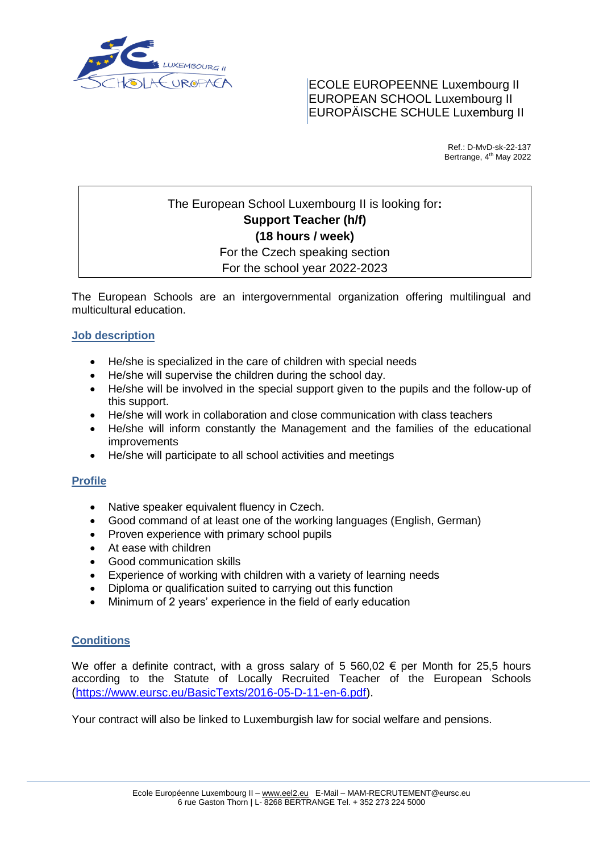

ECOLE EUROPEENNE Luxembourg II EUROPEAN SCHOOL Luxembourg II EUROPÄISCHE SCHULE Luxemburg II

> Ref.: D-MvD-sk-22-137 Bertrange, 4<sup>th</sup> May 2022

# The European School Luxembourg II is looking for**: Support Teacher (h/f) (18 hours / week)** For the Czech speaking section

For the school year 2022-2023

The European Schools are an intergovernmental organization offering multilingual and multicultural education.

## **Job description**

- He/she is specialized in the care of children with special needs
- He/she will supervise the children during the school day.
- He/she will be involved in the special support given to the pupils and the follow-up of this support.
- He/she will work in collaboration and close communication with class teachers
- He/she will inform constantly the Management and the families of the educational improvements
- He/she will participate to all school activities and meetings

## **Profile**

- Native speaker equivalent fluency in Czech.
- Good command of at least one of the working languages (English, German)
- Proven experience with primary school pupils
- At ease with children
- Good communication skills
- Experience of working with children with a variety of learning needs
- Diploma or qualification suited to carrying out this function
- Minimum of 2 years' experience in the field of early education

## **Conditions**

We offer a definite contract, with a gross salary of 5 560,02  $\epsilon$  per Month for 25,5 hours according to the Statute of Locally Recruited Teacher of the European Schools (h[ttps://www.eursc.eu/BasicTexts/2016-05-D-11-en-6.pdf\)](https://www.eursc.eu/BasicTexts/2016-05-D-11-en-6.pdf).

Your contract will also be linked to Luxemburgish law for social welfare and pensions.